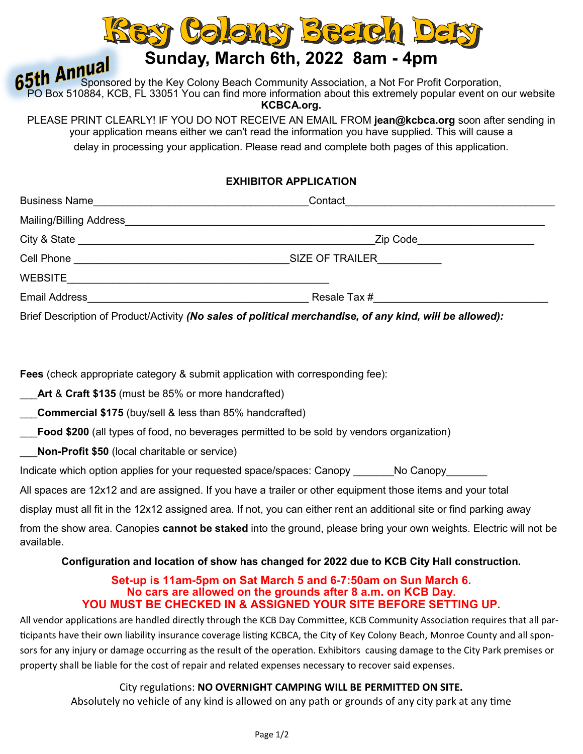

# **Sunday, March 6th, 2022 8am - 4pm**

**65th Annual**<br>**65th Annual** Sponsored by the Key Colony Beach Community Association, a Not For Profit Corporation, PO Box 510884, KCB, FL 33051 You can find more information about this extremely popular event on our website **KCBCA.org.**

PLEASE PRINT CLEARLY! IF YOU DO NOT RECEIVE AN EMAIL FROM **jean@kcbca.org** soon after sending in your application means either we can't read the information you have supplied. This will cause a delay in processing your application. Please read and complete both pages of this application.

## **EXHIBITOR APPLICATION**

| <b>Business Name</b>    | Contact                                                     |
|-------------------------|-------------------------------------------------------------|
| Mailing/Billing Address |                                                             |
|                         | Zip Code                                                    |
| Cell Phone              | <b>SIZE OF TRAILER</b><br><u>and the state of the state</u> |
| <b>WEBSITE</b>          |                                                             |
| <b>Email Address</b>    | Resale Tax #                                                |

Brief Description of Product/Activity *(No sales of political merchandise, of any kind, will be allowed):*

**Fees** (check appropriate category & submit application with corresponding fee):

\_\_\_**Art** & **Craft \$135** (must be 85% or more handcrafted)

\_\_\_**Commercial \$175** (buy/sell & less than 85% handcrafted)

\_\_\_**Food \$200** (all types of food, no beverages permitted to be sold by vendors organization)

\_\_\_**Non-Profit \$50** (local charitable or service)

Indicate which option applies for your requested space/spaces: Canopy \_\_\_\_\_\_\_\_\_\_\_ No Canopy

All spaces are 12x12 and are assigned. If you have a trailer or other equipment those items and your total

display must all fit in the 12x12 assigned area. If not, you can either rent an additional site or find parking away

from the show area. Canopies **cannot be staked** into the ground, please bring your own weights. Electric will not be available.

#### **Configuration and location of show has changed for 2022 due to KCB City Hall construction.**

#### **Set-up is 11am-5pm on Sat March 5 and 6-7:50am on Sun March 6. No cars are allowed on the grounds after 8 a.m. on KCB Day. YOU MUST BE CHECKED IN & ASSIGNED YOUR SITE BEFORE SETTING UP.**

All vendor applications are handled directly through the KCB Day Committee, KCB Community Association requires that all participants have their own liability insurance coverage listing KCBCA, the City of Key Colony Beach, Monroe County and all sponsors for any injury or damage occurring as the result of the operation. Exhibitors causing damage to the City Park premises or property shall be liable for the cost of repair and related expenses necessary to recover said expenses.

### City regulations: **NO OVERNIGHT CAMPING WILL BE PERMITTED ON SITE.**

Absolutely no vehicle of any kind is allowed on any path or grounds of any city park at any time